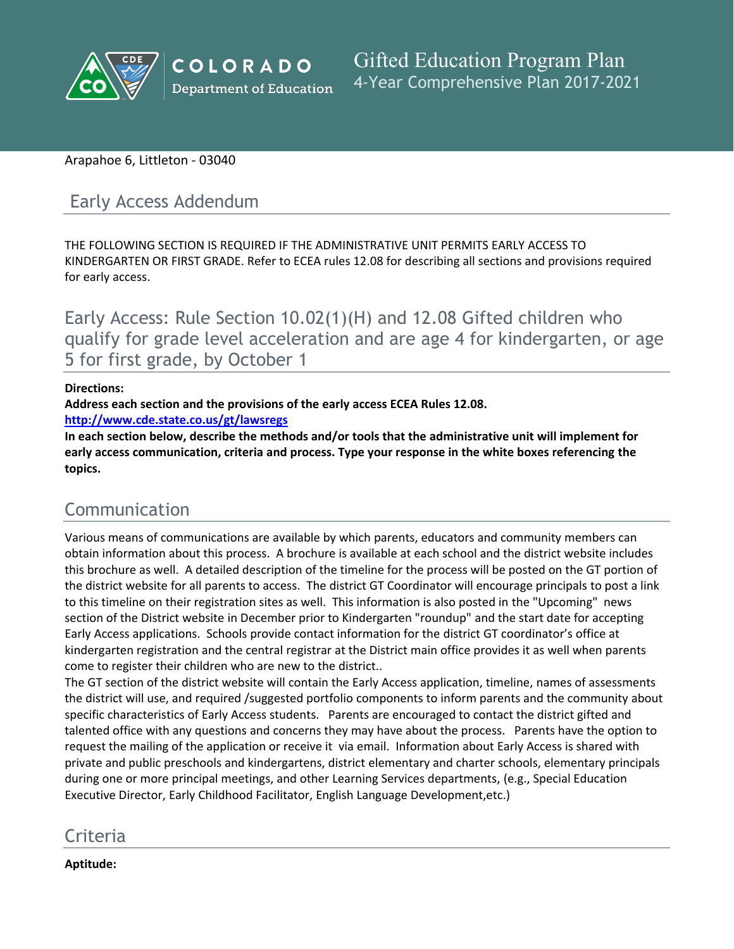

### Arapahoe 6, Littleton - 03040

# Early Access Addendum

THE FOLLOWING SECTION IS REQUIRED IF THE ADMINISTRATIVE UNIT PERMITS EARLY ACCESS TO KINDERGARTEN OR FIRST GRADE. Refer to ECEA rules 12.08 for describing all sections and provisions required for early access.

Early Access: Rule Section 10.02(1)(H) and 12.08 Gifted children who qualify for grade level acceleration and are age 4 for kindergarten, or age 5 for first grade, by October 1

### **Directions:**

**Address each section and the provisions of the early access ECEA Rules 12.08.**

**<http://www.cde.state.co.us/gt/lawsregs>**

**In each section below, describe the methods and/or tools that the administrative unit will implement for early access communication, criteria and process. Type your response in the white boxes referencing the topics.**

## Communication

Various means of communications are available by which parents, educators and community members can obtain information about this process. A brochure is available at each school and the district website includes this brochure as well. A detailed description of the timeline for the process will be posted on the GT portion of the district website for all parents to access. The district GT Coordinator will encourage principals to post a link to this timeline on their registration sites as well. This information is also posted in the "Upcoming" news section of the District website in December prior to Kindergarten "roundup" and the start date for accepting Early Access applications. Schools provide contact information for the district GT coordinator's office at kindergarten registration and the central registrar at the District main office provides it as well when parents come to register their children who are new to the district..

The GT section of the district website will contain the Early Access application, timeline, names of assessments the district will use, and required /suggested portfolio components to inform parents and the community about specific characteristics of Early Access students. Parents are encouraged to contact the district gifted and talented office with any questions and concerns they may have about the process. Parents have the option to request the mailing of the application or receive it via email. Information about Early Access is shared with private and public preschools and kindergartens, district elementary and charter schools, elementary principals during one or more principal meetings, and other Learning Services departments, (e.g., Special Education Executive Director, Early Childhood Facilitator, English Language Development,etc.)

## Criteria

**Aptitude:**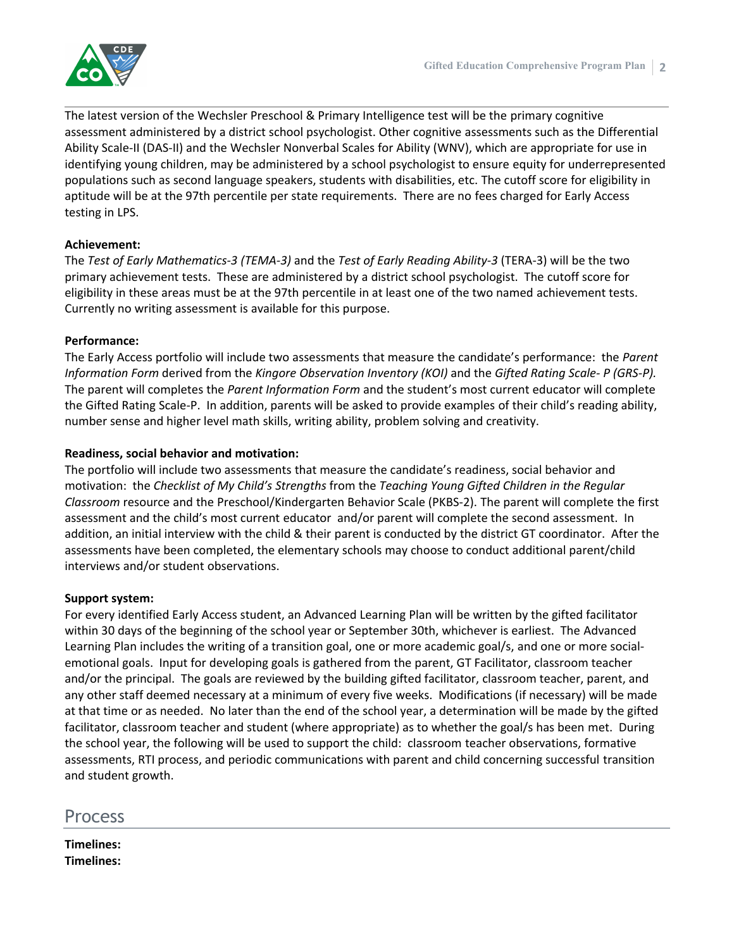

The latest version of the Wechsler Preschool & Primary Intelligence test will be the primary cognitive assessment administered by a district school psychologist. Other cognitive assessments such as the Differential Ability Scale-II (DAS-II) and the Wechsler Nonverbal Scales for Ability (WNV), which are appropriate for use in identifying young children, may be administered by a school psychologist to ensure equity for underrepresented populations such as second language speakers, students with disabilities, etc. The cutoff score for eligibility in aptitude will be at the 97th percentile per state requirements. There are no fees charged for Early Access testing in LPS.

### **Achievement:**

The *Test of Early Mathematics-3 (TEMA-3)* and the *Test of Early Reading Ability-3* (TERA-3) will be the two primary achievement tests. These are administered by a district school psychologist. The cutoff score for eligibility in these areas must be at the 97th percentile in at least one of the two named achievement tests. Currently no writing assessment is available for this purpose.

### **Performance:**

The Early Access portfolio will include two assessments that measure the candidate's performance: the *Parent Information Form* derived from the *Kingore Observation Inventory (KOI)* and the *Gifted Rating Scale- P (GRS-P).* The parent will completes the *Parent Information Form* and the student's most current educator will complete the Gifted Rating Scale-P. In addition, parents will be asked to provide examples of their child's reading ability, number sense and higher level math skills, writing ability, problem solving and creativity.

### **Readiness, social behavior and motivation:**

The portfolio will include two assessments that measure the candidate's readiness, social behavior and motivation: the *Checklist of My Child's Strengths* from the *Teaching Young Gifted Children in the Regular Classroom* resource and the Preschool/Kindergarten Behavior Scale (PKBS-2). The parent will complete the first assessment and the child's most current educator and/or parent will complete the second assessment. In addition, an initial interview with the child & their parent is conducted by the district GT coordinator. After the assessments have been completed, the elementary schools may choose to conduct additional parent/child interviews and/or student observations.

### **Support system:**

For every identified Early Access student, an Advanced Learning Plan will be written by the gifted facilitator within 30 days of the beginning of the school year or September 30th, whichever is earliest. The Advanced Learning Plan includes the writing of a transition goal, one or more academic goal/s, and one or more socialemotional goals. Input for developing goals is gathered from the parent, GT Facilitator, classroom teacher and/or the principal. The goals are reviewed by the building gifted facilitator, classroom teacher, parent, and any other staff deemed necessary at a minimum of every five weeks. Modifications (if necessary) will be made at that time or as needed. No later than the end of the school year, a determination will be made by the gifted facilitator, classroom teacher and student (where appropriate) as to whether the goal/s has been met. During the school year, the following will be used to support the child: classroom teacher observations, formative assessments, RTI process, and periodic communications with parent and child concerning successful transition and student growth.

### Process

**Timelines: Timelines:**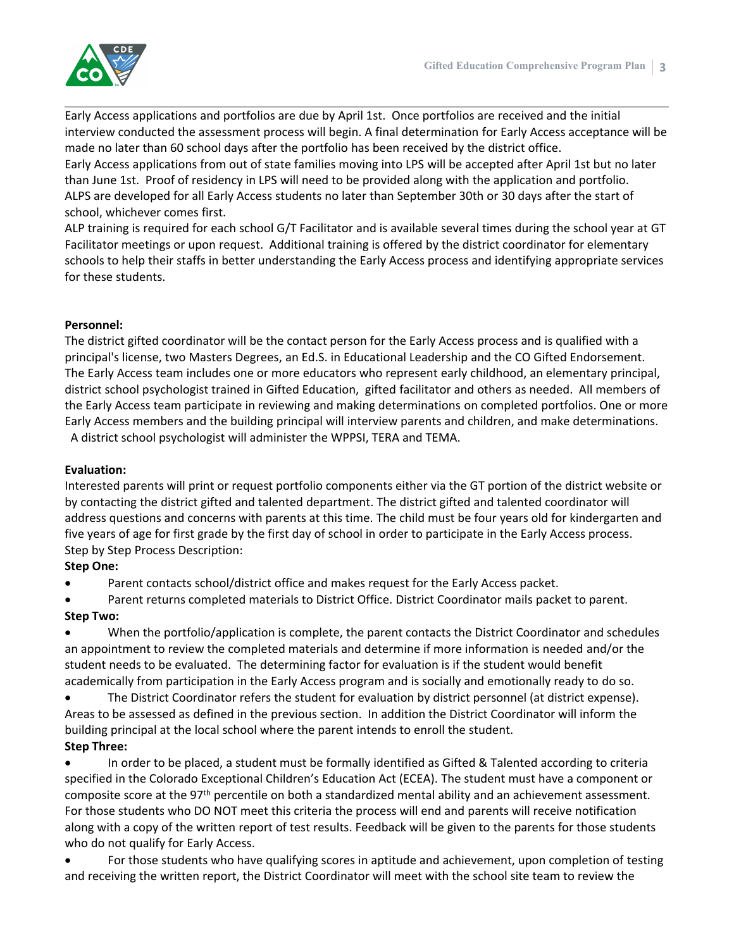Early Access applications and portfolios are due by April 1st. Once portfolios are received and the initial interview conducted the assessment process will begin. A final determination for Early Access acceptance will be made no later than 60 school days after the portfolio has been received by the district office.

Early Access applications from out of state families moving into LPS will be accepted after April 1st but no later than June 1st. Proof of residency in LPS will need to be provided along with the application and portfolio. ALPS are developed for all Early Access students no later than September 30th or 30 days after the start of school, whichever comes first.

ALP training is required for each school G/T Facilitator and is available several times during the school year at GT Facilitator meetings or upon request. Additional training is offered by the district coordinator for elementary schools to help their staffs in better understanding the Early Access process and identifying appropriate services for these students.

### **Personnel:**

The district gifted coordinator will be the contact person for the Early Access process and is qualified with a principal's license, two Masters Degrees, an Ed.S. in Educational Leadership and the CO Gifted Endorsement. The Early Access team includes one or more educators who represent early childhood, an elementary principal, district school psychologist trained in Gifted Education, gifted facilitator and others as needed. All members of the Early Access team participate in reviewing and making determinations on completed portfolios. One or more Early Access members and the building principal will interview parents and children, and make determinations. A district school psychologist will administer the WPPSI, TERA and TEMA.

#### **Evaluation:**

Interested parents will print or request portfolio components either via the GT portion of the district website or by contacting the district gifted and talented department. The district gifted and talented coordinator will address questions and concerns with parents at this time. The child must be four years old for kindergarten and five years of age for first grade by the first day of school in order to participate in the Early Access process. Step by Step Process Description:

### **Step One:**

Parent contacts school/district office and makes request for the Early Access packet.

 Parent returns completed materials to District Office. District Coordinator mails packet to parent. **Step Two:**

 When the portfolio/application is complete, the parent contacts the District Coordinator and schedules an appointment to review the completed materials and determine if more information is needed and/or the student needs to be evaluated. The determining factor for evaluation is if the student would benefit academically from participation in the Early Access program and is socially and emotionally ready to do so.

 The District Coordinator refers the student for evaluation by district personnel (at district expense). Areas to be assessed as defined in the previous section. In addition the District Coordinator will inform the building principal at the local school where the parent intends to enroll the student. **Step Three:**

 In order to be placed, a student must be formally identified as Gifted & Talented according to criteria specified in the Colorado Exceptional Children's Education Act (ECEA). The student must have a component or composite score at the 97th percentile on both a standardized mental ability and an achievement assessment. For those students who DO NOT meet this criteria the process will end and parents will receive notification along with a copy of the written report of test results. Feedback will be given to the parents for those students who do not qualify for Early Access.

 For those students who have qualifying scores in aptitude and achievement, upon completion of testing and receiving the written report, the District Coordinator will meet with the school site team to review the